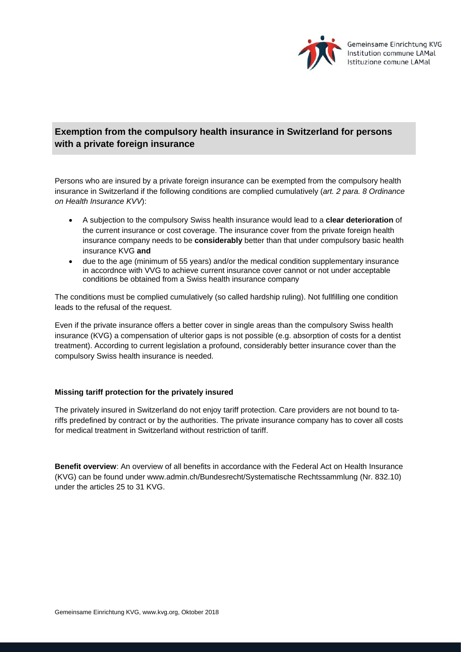

## **Exemption from the compulsory health insurance in Switzerland for persons with a private foreign insurance**

Persons who are insured by a private foreign insurance can be exempted from the compulsory health insurance in Switzerland if the following conditions are complied cumulatively (*art. 2 para. 8 Ordinance on Health Insurance KVV*):

- A subjection to the compulsory Swiss health insurance would lead to a **clear deterioration** of the current insurance or cost coverage. The insurance cover from the private foreign health insurance company needs to be **considerably** better than that under compulsory basic health insurance KVG **and**
- due to the age (minimum of 55 years) and/or the medical condition supplementary insurance in accordnce with VVG to achieve current insurance cover cannot or not under acceptable conditions be obtained from a Swiss health insurance company

The conditions must be complied cumulatively (so called hardship ruling). Not fullfilling one condition leads to the refusal of the request.

Even if the private insurance offers a better cover in single areas than the compulsory Swiss health insurance (KVG) a compensation of ulterior gaps is not possible (e.g. absorption of costs for a dentist treatment). According to current legislation a profound, considerably better insurance cover than the compulsory Swiss health insurance is needed.

## **Missing tariff protection for the privately insured**

The privately insured in Switzerland do not enjoy tariff protection. Care providers are not bound to tariffs predefined by contract or by the authorities. The private insurance company has to cover all costs for medical treatment in Switzerland without restriction of tariff.

**Benefit overview**: An overview of all benefits in accordance with the Federal Act on Health Insurance (KVG) can be found under www.admin.ch/Bundesrecht/Systematische Rechtssammlung (Nr. 832.10) under the articles 25 to 31 KVG.